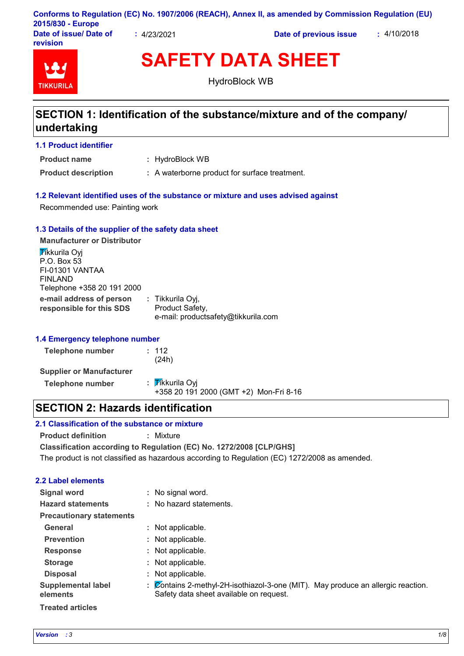| 2015/830 - Europe                  |           | Conforms to Regulation (EC) No. 1907/2006 (REACH), Annex II, as amended by Commission Regulation (EU) |             |
|------------------------------------|-----------|-------------------------------------------------------------------------------------------------------|-------------|
| Date of issue/ Date of<br>revision | 4/23/2021 | Date of previous issue                                                                                | : 4/10/2018 |

# **TIKKURIL**

**SAFETY DATA SHEET** HydroBlock WB

## **SECTION 1: Identification of the substance/mixture and of the company/ undertaking**

#### **1.1 Product identifier**

: HydroBlock WB **Product name**

**Product description : A waterborne product for surface treatment.** 

#### **1.2 Relevant identified uses of the substance or mixture and uses advised against**

Recommended use: Painting work

#### **1.3 Details of the supplier of the safety data sheet**

**e-mail address of person responsible for this SDS :** Tikkurila Oyj, Product Safety, e-mail: productsafety@tikkurila.com **Manufacturer or Distributor Tikkurila Ovi** P.O. Box 53 FI-01301 VANTAA FINLAND Telephone +358 20 191 2000

#### **1.4 Emergency telephone number**

| Telephone number                | : 112<br>(24h)                                            |
|---------------------------------|-----------------------------------------------------------|
| <b>Supplier or Manufacturer</b> |                                                           |
| <b>Telephone number</b>         | : Tikkurila Oyi<br>+358 20 191 2000 (GMT +2) Mon-Fri 8-16 |

## **SECTION 2: Hazards identification**

#### **2.1 Classification of the substance or mixture**

**Product definition :** Mixture

**Classification according to Regulation (EC) No. 1272/2008 [CLP/GHS]**

The product is not classified as hazardous according to Regulation (EC) 1272/2008 as amended.

#### **2.2 Label elements**

| <b>Signal word</b>                    | : No signal word.                                                                                                           |
|---------------------------------------|-----------------------------------------------------------------------------------------------------------------------------|
| <b>Hazard statements</b>              | : No hazard statements.                                                                                                     |
| <b>Precautionary statements</b>       |                                                                                                                             |
| General                               | : Not applicable.                                                                                                           |
| <b>Prevention</b>                     | : Not applicable.                                                                                                           |
| <b>Response</b>                       | : Not applicable.                                                                                                           |
| <b>Storage</b>                        | : Not applicable.                                                                                                           |
| <b>Disposal</b>                       | : Not applicable.                                                                                                           |
| <b>Supplemental label</b><br>elements | : Contains 2-methyl-2H-isothiazol-3-one (MIT). May produce an allergic reaction.<br>Safety data sheet available on request. |
| <b>Treated articles</b>               |                                                                                                                             |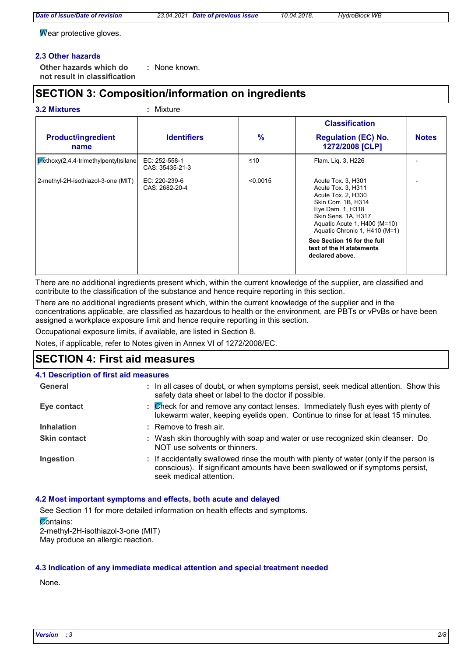*Date of issue/Date of revision 23.04.2021 Date of previous issue 10.04.2018. HydroBlock WB*

 $\overline{W}$ ear protective gloves.

#### **2.3 Other hazards**

**Other hazards which do : not result in classification** : None known.

## **SECTION 3: Composition/information on ingredients**

#### **3.2 Mixtures :** Mixture

| <b>Product/ingredient</b>              | <b>Identifiers</b>               | $\%$     | <b>Classification</b><br><b>Regulation (EC) No.</b>                                                                                                                                               | <b>Notes</b> |
|----------------------------------------|----------------------------------|----------|---------------------------------------------------------------------------------------------------------------------------------------------------------------------------------------------------|--------------|
| name                                   |                                  |          | 1272/2008 [CLP]                                                                                                                                                                                   |              |
| trethoxy(2,4,4-trimethylpentyl) silane | EC: 252-558-1<br>CAS: 35435-21-3 | ≤10      | Flam. Lig. 3, H226                                                                                                                                                                                |              |
| 2-methyl-2H-isothiazol-3-one (MIT)     | EC: 220-239-6<br>CAS: 2682-20-4  | < 0.0015 | Acute Tox. 3, H301<br>Acute Tox. 3, H311<br>Acute Tox. 2, H330<br>Skin Corr. 1B, H314<br>Eye Dam. 1, H318<br>Skin Sens. 1A, H317<br>Aquatic Acute 1, H400 (M=10)<br>Aquatic Chronic 1, H410 (M=1) |              |
|                                        |                                  |          | See Section 16 for the full<br>text of the H statements<br>declared above.                                                                                                                        |              |

There are no additional ingredients present which, within the current knowledge of the supplier, are classified and contribute to the classification of the substance and hence require reporting in this section.

There are no additional ingredients present which, within the current knowledge of the supplier and in the concentrations applicable, are classified as hazardous to health or the environment, are PBTs or vPvBs or have been assigned a workplace exposure limit and hence require reporting in this section.

Occupational exposure limits, if available, are listed in Section 8.

Notes, if applicable, refer to Notes given in Annex VI of 1272/2008/EC.

## **SECTION 4: First aid measures**

#### **4.1 Description of first aid measures**

| General             |    | : In all cases of doubt, or when symptoms persist, seek medical attention. Show this<br>safety data sheet or label to the doctor if possible.                                                        |
|---------------------|----|------------------------------------------------------------------------------------------------------------------------------------------------------------------------------------------------------|
| Eye contact         | ÷. | Check for and remove any contact lenses. Immediately flush eyes with plenty of<br>lukewarm water, keeping eyelids open. Continue to rinse for at least 15 minutes.                                   |
| <b>Inhalation</b>   |    | $:$ Remove to fresh air.                                                                                                                                                                             |
| <b>Skin contact</b> |    | : Wash skin thoroughly with soap and water or use recognized skin cleanser. Do<br>NOT use solvents or thinners.                                                                                      |
| Ingestion           |    | : If accidentally swallowed rinse the mouth with plenty of water (only if the person is<br>conscious). If significant amounts have been swallowed or if symptoms persist,<br>seek medical attention. |

#### **4.2 Most important symptoms and effects, both acute and delayed**

See Section 11 for more detailed information on health effects and symptoms. **Zontains:** 2-methyl-2H-isothiazol-3-one (MIT)

May produce an allergic reaction.

#### **4.3 Indication of any immediate medical attention and special treatment needed**

None.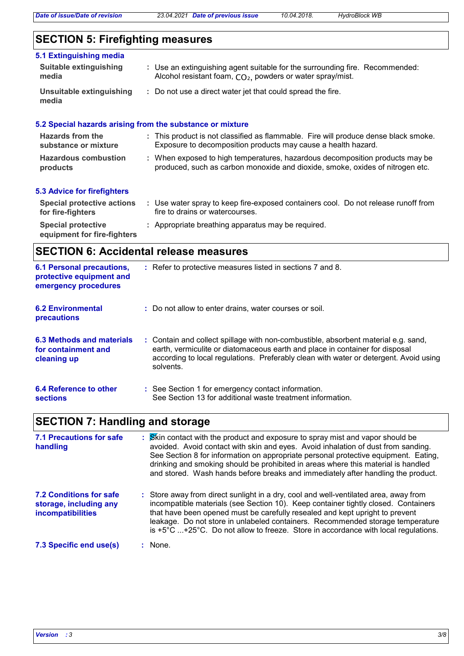## **SECTION 5: Firefighting measures**

| 5.1 Extinguishing media<br><b>Suitable extinguishing</b><br>media | : Use an extinguishing agent suitable for the surrounding fire. Recommended:<br>Alcohol resistant foam, CO <sub>2</sub> , powders or water spray/mist.        |
|-------------------------------------------------------------------|---------------------------------------------------------------------------------------------------------------------------------------------------------------|
| Unsuitable extinguishing<br>media                                 | : Do not use a direct water jet that could spread the fire.                                                                                                   |
|                                                                   | 5.2 Special hazards arising from the substance or mixture                                                                                                     |
| Hazards from the<br>substance or mixture                          | : This product is not classified as flammable. Fire will produce dense black smoke.<br>Exposure to decomposition products may cause a health hazard.          |
| <b>Hazardous combustion</b><br>products                           | : When exposed to high temperatures, hazardous decomposition products may be<br>produced, such as carbon monoxide and dioxide, smoke, oxides of nitrogen etc. |
| <b>5.3 Advice for firefighters</b>                                |                                                                                                                                                               |
| <b>Special protective actions</b><br>for fire-fighters            | : Use water spray to keep fire-exposed containers cool. Do not release runoff from<br>fire to drains or watercourses.                                         |

**Special protective : Appropriate breathing apparatus may be required. equipment for fire-fighters**

## **SECTION 6: Accidental release measures**

| <b>6.1 Personal precautions,</b><br>protective equipment and<br>emergency procedures | : Refer to protective measures listed in sections 7 and 8.                                                                                                                                                                                                               |
|--------------------------------------------------------------------------------------|--------------------------------------------------------------------------------------------------------------------------------------------------------------------------------------------------------------------------------------------------------------------------|
| <b>6.2 Environmental</b><br>precautions                                              | : Do not allow to enter drains, water courses or soil.                                                                                                                                                                                                                   |
| 6.3 Methods and materials<br>for containment and<br>cleaning up                      | : Contain and collect spillage with non-combustible, absorbent material e.g. sand,<br>earth, vermiculite or diatomaceous earth and place in container for disposal<br>according to local regulations. Preferably clean with water or detergent. Avoid using<br>solvents. |
| 6.4 Reference to other<br><b>sections</b>                                            | : See Section 1 for emergency contact information.<br>See Section 13 for additional waste treatment information.                                                                                                                                                         |

## **SECTION 7: Handling and storage**

| <b>7.1 Precautions for safe</b><br>handling                                          | : Skin contact with the product and exposure to spray mist and vapor should be<br>avoided. Avoid contact with skin and eyes. Avoid inhalation of dust from sanding.<br>See Section 8 for information on appropriate personal protective equipment. Eating,<br>drinking and smoking should be prohibited in areas where this material is handled<br>and stored. Wash hands before breaks and immediately after handling the product.          |
|--------------------------------------------------------------------------------------|----------------------------------------------------------------------------------------------------------------------------------------------------------------------------------------------------------------------------------------------------------------------------------------------------------------------------------------------------------------------------------------------------------------------------------------------|
| <b>7.2 Conditions for safe</b><br>storage, including any<br><b>incompatibilities</b> | : Store away from direct sunlight in a dry, cool and well-ventilated area, away from<br>incompatible materials (see Section 10). Keep container tightly closed. Containers<br>that have been opened must be carefully resealed and kept upright to prevent<br>leakage. Do not store in unlabeled containers. Recommended storage temperature<br>is $+5^{\circ}$ C +25°C. Do not allow to freeze. Store in accordance with local regulations. |
| 7.3 Specific end use(s)                                                              | : None.                                                                                                                                                                                                                                                                                                                                                                                                                                      |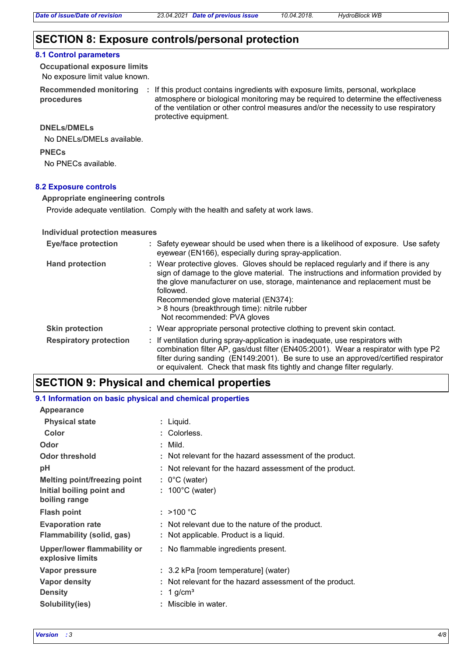#### **SECTION 8: Exposure controls/personal protection**

#### **8.1 Control parameters**

No exposure limit value known. **Occupational exposure limits**

**Recommended monitoring procedures**

: If this product contains ingredients with exposure limits, personal, workplace atmosphere or biological monitoring may be required to determine the effectiveness of the ventilation or other control measures and/or the necessity to use respiratory protective equipment.

#### **DNELs/DMELs**

No DNELs/DMELs available.

**PNECs**

No PNECs available.

#### **8.2 Exposure controls**

**Appropriate engineering controls**

Provide adequate ventilation. Comply with the health and safety at work laws.

#### **Individual protection measures**

| <b>Eye/face protection</b>    | : Safety eyewear should be used when there is a likelihood of exposure. Use safety<br>eyewear (EN166), especially during spray-application.                                                                                                                                                                                                                                                |  |
|-------------------------------|--------------------------------------------------------------------------------------------------------------------------------------------------------------------------------------------------------------------------------------------------------------------------------------------------------------------------------------------------------------------------------------------|--|
| <b>Hand protection</b>        | : Wear protective gloves. Gloves should be replaced regularly and if there is any<br>sign of damage to the glove material. The instructions and information provided by<br>the glove manufacturer on use, storage, maintenance and replacement must be<br>followed.<br>Recommended glove material (EN374):<br>> 8 hours (breakthrough time): nitrile rubber<br>Not recommended: PVA gloves |  |
| <b>Skin protection</b>        | : Wear appropriate personal protective clothing to prevent skin contact.                                                                                                                                                                                                                                                                                                                   |  |
| <b>Respiratory protection</b> | : If ventilation during spray-application is inadequate, use respirators with<br>combination filter AP, gas/dust filter (EN405:2001). Wear a respirator with type P2<br>filter during sanding (EN149:2001). Be sure to use an approved/certified respirator<br>or equivalent. Check that mask fits tightly and change filter regularly.                                                    |  |

## **SECTION 9: Physical and chemical properties**

#### **9.1 Information on basic physical and chemical properties**

| <b>Appearance</b>                                                                 |                                                                                            |
|-----------------------------------------------------------------------------------|--------------------------------------------------------------------------------------------|
| <b>Physical state</b>                                                             | : Liquid.                                                                                  |
| Color                                                                             | : Colorless.                                                                               |
| Odor                                                                              | $:$ Mild.                                                                                  |
| Odor threshold                                                                    | : Not relevant for the hazard assessment of the product.                                   |
| рH                                                                                | : Not relevant for the hazard assessment of the product.                                   |
| <b>Melting point/freezing point</b><br>Initial boiling point and<br>boiling range | $: 0^{\circ}$ C (water)<br>$: 100^{\circ}$ C (water)                                       |
| <b>Flash point</b>                                                                | : $>100 °C$                                                                                |
| <b>Evaporation rate</b><br>Flammability (solid, gas)                              | : Not relevant due to the nature of the product.<br>: Not applicable. Product is a liquid. |
| Upper/lower flammability or<br>explosive limits                                   | : No flammable ingredients present.                                                        |
| Vapor pressure                                                                    | : 3.2 kPa [room temperature] (water)                                                       |
| <b>Vapor density</b><br><b>Density</b>                                            | Not relevant for the hazard assessment of the product.<br>1 g/cm <sup>3</sup>              |
| Solubility(ies)                                                                   | Miscible in water.                                                                         |
|                                                                                   |                                                                                            |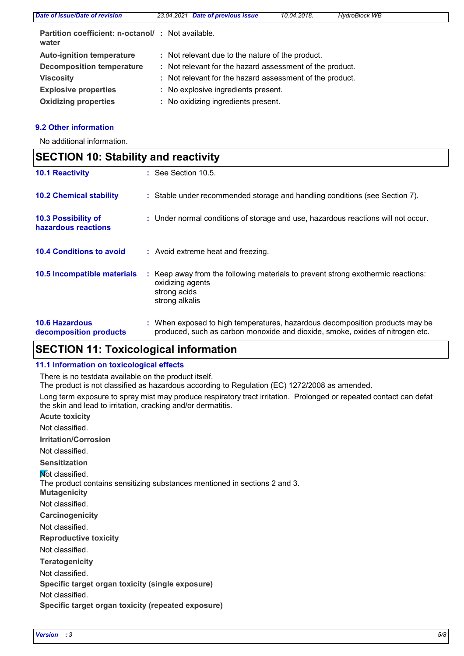| Date of issue/Date of revision                                     | 23.04.2021 Date of previous issue                        | 10.04.2018. | <b>HydroBlock WB</b> |
|--------------------------------------------------------------------|----------------------------------------------------------|-------------|----------------------|
| <b>Partition coefficient: n-octanol/ : Not available.</b><br>water |                                                          |             |                      |
| <b>Auto-ignition temperature</b>                                   | : Not relevant due to the nature of the product.         |             |                      |
| <b>Decomposition temperature</b>                                   | : Not relevant for the hazard assessment of the product. |             |                      |
| <b>Viscosity</b>                                                   | : Not relevant for the hazard assessment of the product. |             |                      |
| <b>Explosive properties</b>                                        | : No explosive ingredients present.                      |             |                      |
| <b>Oxidizing properties</b>                                        | : No oxidizing ingredients present.                      |             |                      |
|                                                                    |                                                          |             |                      |

#### **9.2 Other information**

No additional information.

| <b>SECTION 10: Stability and reactivity</b>     |  |                                                                                                                                                               |
|-------------------------------------------------|--|---------------------------------------------------------------------------------------------------------------------------------------------------------------|
| <b>10.1 Reactivity</b>                          |  | $:$ See Section 10.5.                                                                                                                                         |
| <b>10.2 Chemical stability</b>                  |  | : Stable under recommended storage and handling conditions (see Section 7).                                                                                   |
| 10.3 Possibility of<br>hazardous reactions      |  | : Under normal conditions of storage and use, hazardous reactions will not occur.                                                                             |
| <b>10.4 Conditions to avoid</b>                 |  | : Avoid extreme heat and freezing.                                                                                                                            |
| 10.5 Incompatible materials                     |  | : Keep away from the following materials to prevent strong exothermic reactions:<br>oxidizing agents<br>strong acids<br>strong alkalis                        |
| <b>10.6 Hazardous</b><br>decomposition products |  | : When exposed to high temperatures, hazardous decomposition products may be<br>produced, such as carbon monoxide and dioxide, smoke, oxides of nitrogen etc. |

## **SECTION 11: Toxicological information**

#### **11.1 Information on toxicological effects**

There is no testdata available on the product itself.

The product is not classified as hazardous according to Regulation (EC) 1272/2008 as amended.

Long term exposure to spray mist may produce respiratory tract irritation. Prolonged or repeated contact can defat the skin and lead to irritation, cracking and/or dermatitis.

**Acute toxicity**

Not classified.

**Irritation/Corrosion**

Not classified.

**Sensitization**

**Not classified.** 

The product contains sensitizing substances mentioned in sections 2 and 3.

**Mutagenicity**

Not classified.

**Carcinogenicity**

Not classified.

**Reproductive toxicity**

Not classified.

**Teratogenicity**

Not classified.

**Specific target organ toxicity (single exposure)**

Not classified.

**Specific target organ toxicity (repeated exposure)**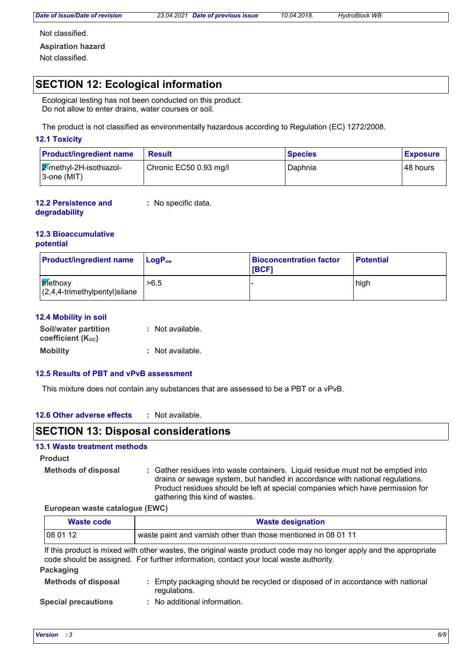*Date of issue/Date of revision 23.04.2021 Date of previous issue 10.04.2018. HydroBlock WB*

Not classified.

**Aspiration hazard**

Not classified.

## **SECTION 12: Ecological information**

Ecological testing has not been conducted on this product. Do not allow to enter drains, water courses or soil.

The product is not classified as environmentally hazardous according to Regulation (EC) 1272/2008.

#### **12.1 Toxicity**

| <b>Product/ingredient name</b>              | <b>Result</b>          | <b>Species</b> | <b>Exposure</b> |
|---------------------------------------------|------------------------|----------------|-----------------|
| $2$ -methyl-2H-isothiazol-<br>l 3-one (MIT) | Chronic EC50 0.93 mg/l | Daphnia        | 48 hours        |

**12.2 Persistence and :** No specific data.

#### **degradability**

#### **12.3 Bioaccumulative potential**

| <b>Product/ingredient name</b>                        | $\mathsf{LogP}_\mathsf{ow}$ | <b>Bioconcentration factor</b><br><b>IBCF1</b> | <b>Potential</b> |
|-------------------------------------------------------|-----------------------------|------------------------------------------------|------------------|
| <b>triethoxy</b><br>$(2,4,4$ -trimethylpentyl) silane | >6.5                        |                                                | high             |

#### **12.4 Mobility in soil**

| Soil/water partition           | : Not available. |
|--------------------------------|------------------|
| coefficient (K <sub>oc</sub> ) |                  |
| <b>Mobility</b>                | : Not available. |

#### **12.5 Results of PBT and vPvB assessment**

This mixture does not contain any substances that are assessed to be a PBT or a vPvB.

#### **12.6 Other adverse effects :**

### **SECTION 13: Disposal considerations**

#### **13.1 Waste treatment methods**

**Product**

**Methods of disposal :**

Gather residues into waste containers. Liquid residue must not be emptied into drains or sewage system, but handled in accordance with national regulations. Product residues should be left at special companies which have permission for gathering this kind of wastes.

#### **European waste catalogue (EWC)**

| Waste code | <b>Waste designation</b>                                       |
|------------|----------------------------------------------------------------|
| 080112     | waste paint and varnish other than those mentioned in 08 01 11 |

If this product is mixed with other wastes, the original waste product code may no longer apply and the appropriate code should be assigned. For further information, contact your local waste authority.

**Packaging**

| <b>Methods of disposal</b>     | : Empty packaging should be recycled or disposed of in accordance with national<br>regulations. |  |
|--------------------------------|-------------------------------------------------------------------------------------------------|--|
| a a a ball anns a an chlanais. | a - Mila - a al al Marca - Lin Caroca - Al arco                                                 |  |

**Special precautions :** No additional information.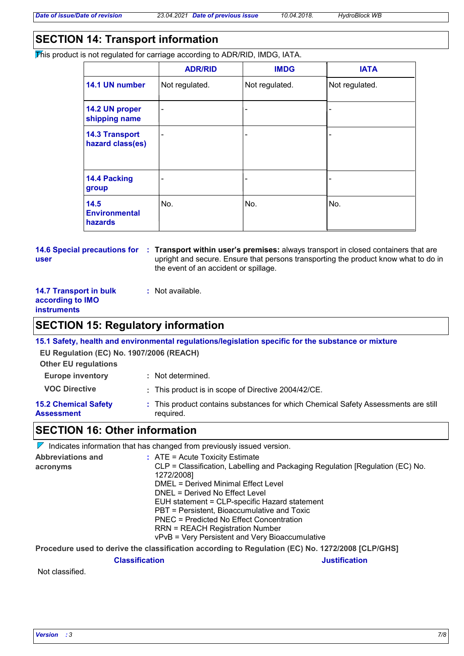## **SECTION 14: Transport information**

This product is not regulated for carriage according to ADR/RID, IMDG, IATA.

|                                           | <b>ADR/RID</b>               | <b>IMDG</b>    | <b>IATA</b>    |
|-------------------------------------------|------------------------------|----------------|----------------|
| 14.1 UN number                            | Not regulated.               | Not regulated. | Not regulated. |
| 14.2 UN proper<br>shipping name           | $\qquad \qquad \blacksquare$ | -              |                |
| <b>14.3 Transport</b><br>hazard class(es) | $\overline{\phantom{0}}$     | -              |                |
| 14.4 Packing<br>group                     |                              | -              |                |
| 14.5<br><b>Environmental</b><br>hazards   | No.                          | No.            | No.            |

## **user**

**14.6 Special precautions for : Transport within user's premises:** always transport in closed containers that are upright and secure. Ensure that persons transporting the product know what to do in the event of an accident or spillage.

#### **14.7 Transport in bulk according to IMO instruments**

## **SECTION 15: Regulatory information**

**15.1 Safety, health and environmental regulations/legislation specific for the substance or mixture**

**EU Regulation (EC) No. 1907/2006 (REACH)**

| <b>Other EU regulations</b> |                                                                                    |
|-----------------------------|------------------------------------------------------------------------------------|
| <b>Europe inventory</b>     | : Not determined.                                                                  |
| <b>VOC Directive</b>        | : This product is in scope of Directive 2004/42/CE.                                |
| <b>15.2 Chemical Safety</b> | : This product contains substances for which Chemical Safety Assessments are still |

**Assessment**

# required.

**:** Not available.

## **SECTION 16: Other information**

 $\nabla$  Indicates information that has changed from previously issued version.

| <b>Abbreviations and</b> | $\therefore$ ATE = Acute Toxicity Estimate                                    |
|--------------------------|-------------------------------------------------------------------------------|
| acronyms                 | CLP = Classification, Labelling and Packaging Regulation [Regulation (EC) No. |
|                          | 1272/2008]                                                                    |
|                          | DMEL = Derived Minimal Effect Level                                           |
|                          | DNEL = Derived No Effect Level                                                |
|                          | EUH statement = CLP-specific Hazard statement                                 |
|                          | PBT = Persistent, Bioaccumulative and Toxic                                   |
|                          | PNEC = Predicted No Effect Concentration                                      |
|                          | <b>RRN = REACH Registration Number</b>                                        |
|                          | vPvB = Very Persistent and Very Bioaccumulative                               |
|                          |                                                                               |

**Procedure used to derive the classification according to Regulation (EC) No. 1272/2008 [CLP/GHS]**

**Classification Justification**

Not classified.